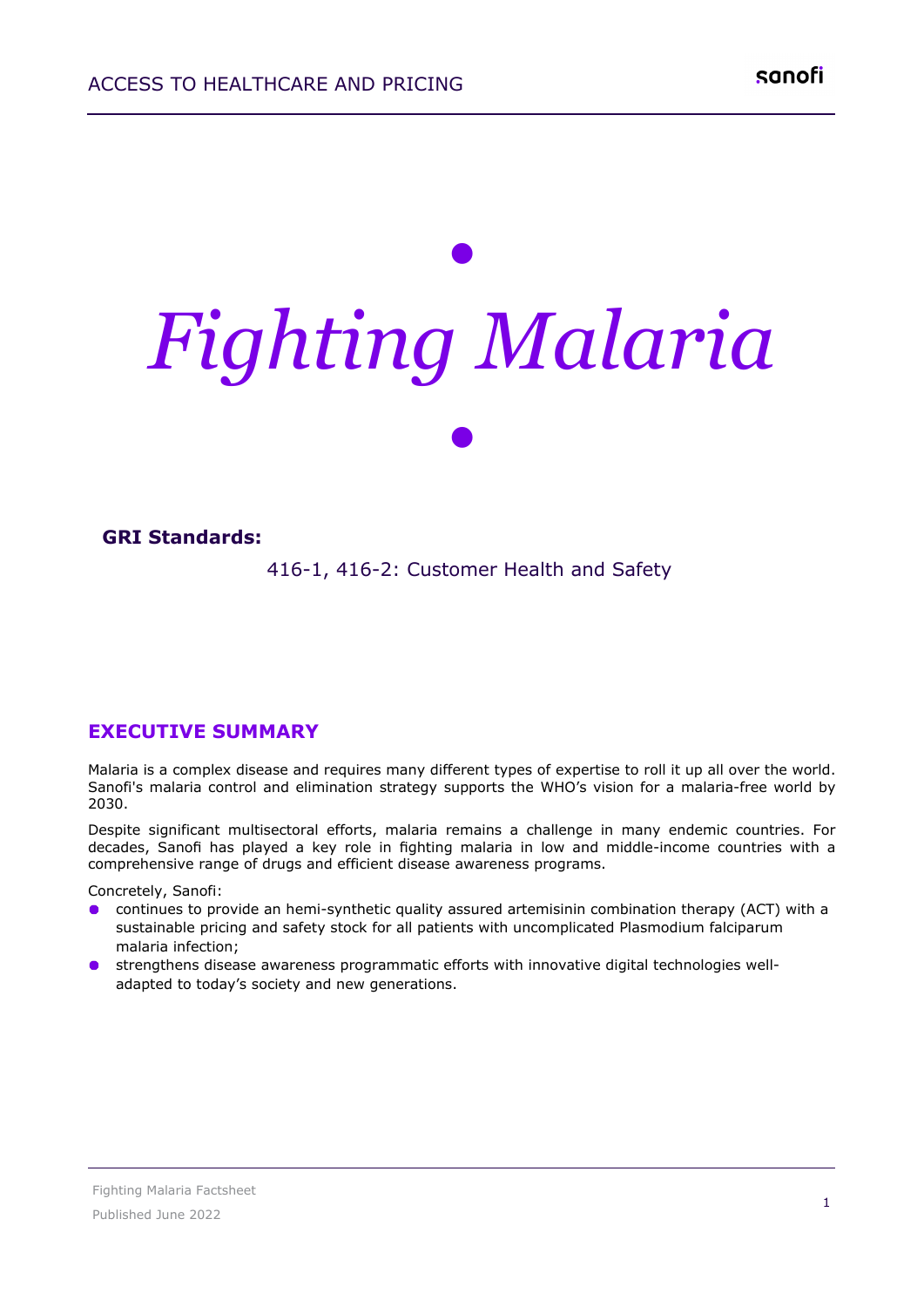# *• Fighting Malaria •*

#### **GRI Standards:**

416-1, 416-2: Customer Health and Safety

#### **EXECUTIVE SUMMARY**

Malaria is a complex disease and requires many different types of expertise to roll it up all over the world. Sanofi's malaria control and elimination strategy supports the WHO's vision for a malaria-free world by 2030.

Despite significant multisectoral efforts, malaria remains a challenge in many endemic countries. For decades, Sanofi has played a key role in fighting malaria in low and middle-income countries with a comprehensive range of drugs and efficient disease awareness programs.

Concretely, Sanofi:

- continues to provide an hemi-synthetic quality assured artemisinin combination therapy (ACT) with a  $\bullet$ sustainable pricing and safety stock for all patients with uncomplicated Plasmodium falciparum malaria infection;
- strengthens disease awareness programmatic efforts with innovative digital technologies well- $\bullet$ adapted to today's society and new generations.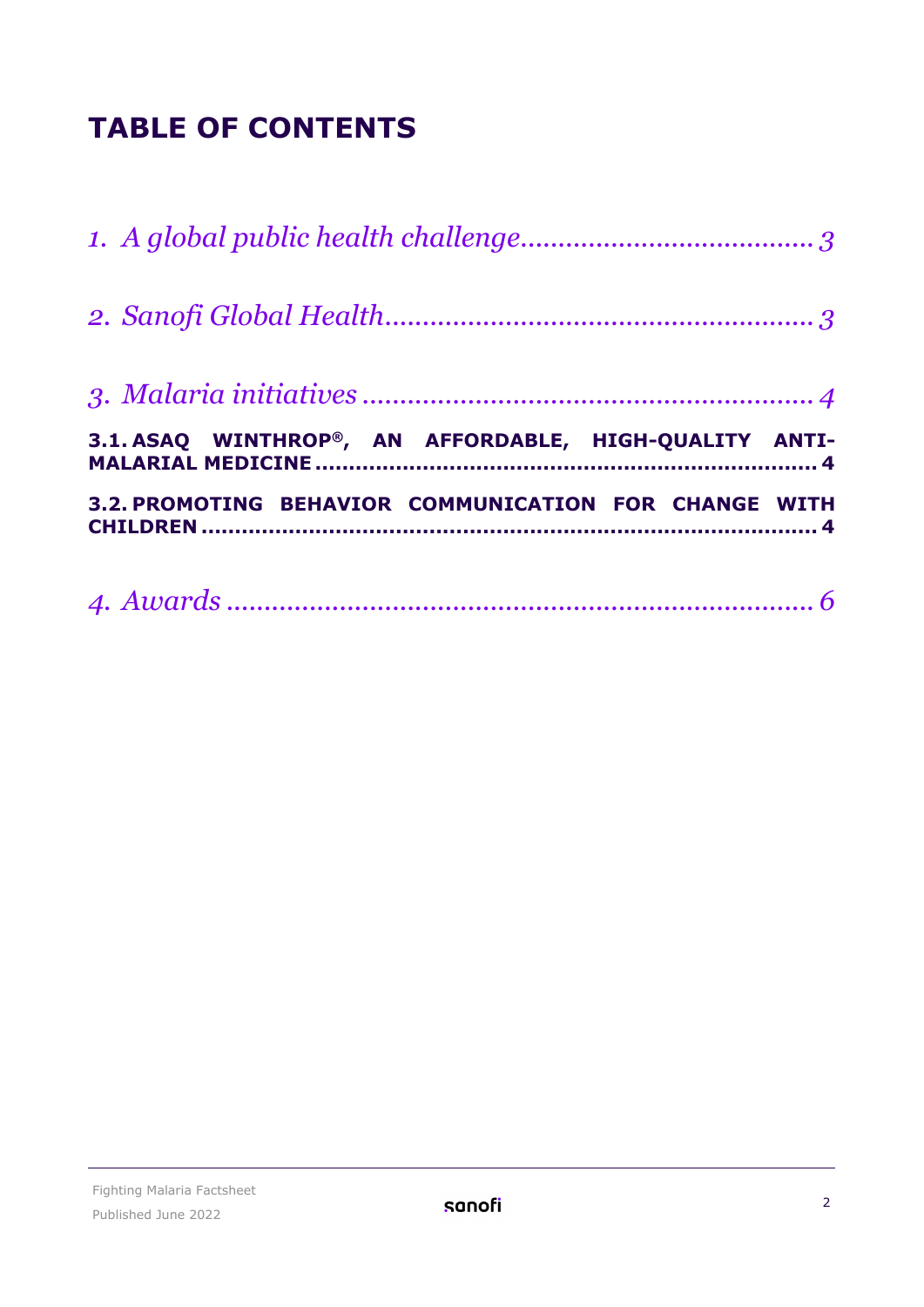## **TABLE OF CONTENTS**

| 3.1. ASAQ WINTHROP®, AN AFFORDABLE, HIGH-QUALITY ANTI- |
|--------------------------------------------------------|
| 3.2. PROMOTING BEHAVIOR COMMUNICATION FOR CHANGE WITH  |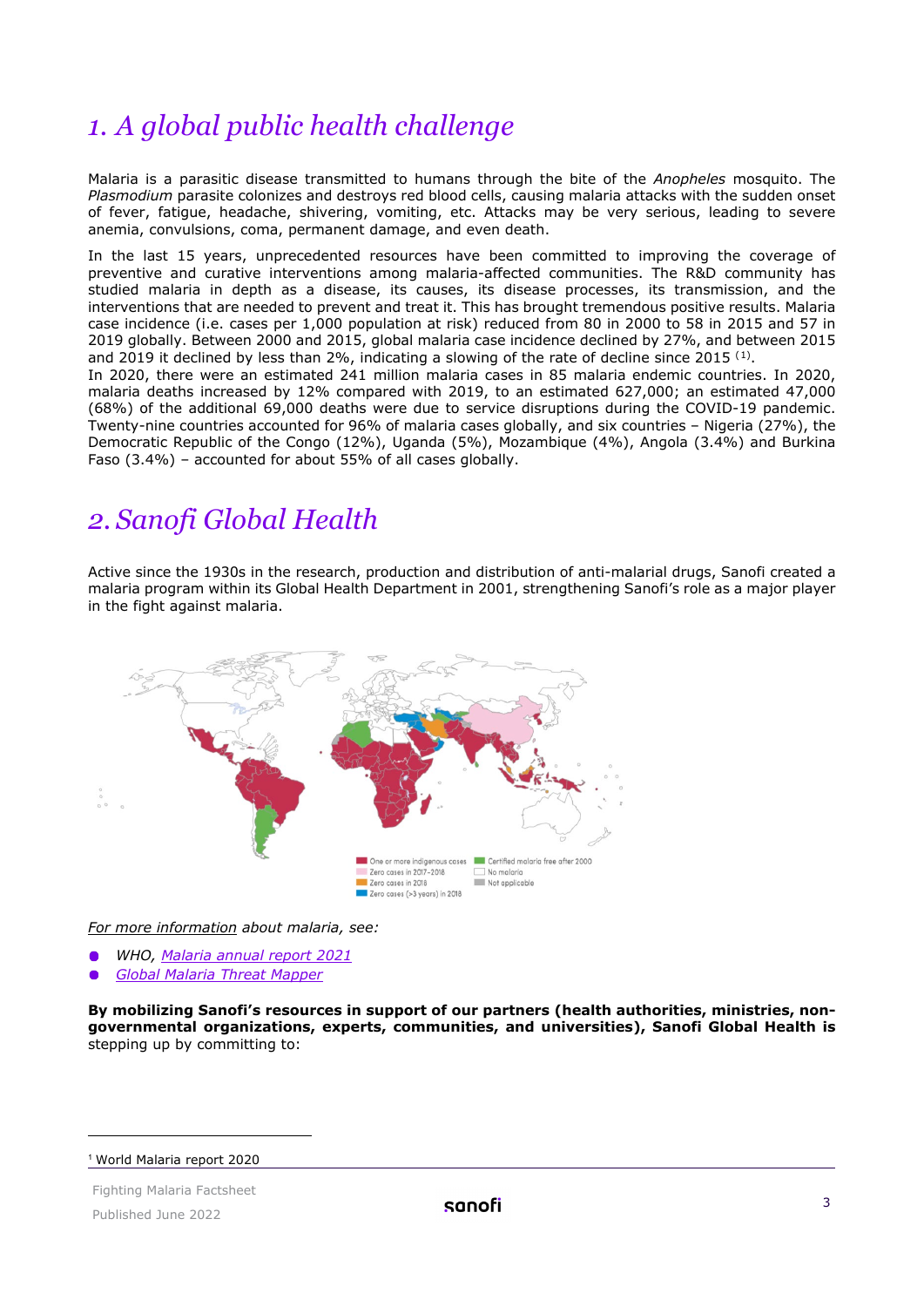## <span id="page-2-0"></span>*1. A global public health challenge*

Malaria is a parasitic disease transmitted to humans through the bite of the *Anopheles* mosquito. The *Plasmodium* parasite colonizes and destroys red blood cells, causing malaria attacks with the sudden onset of fever, fatigue, headache, shivering, vomiting, etc. Attacks may be very serious, leading to severe anemia, convulsions, coma, permanent damage, and even death.

In the last 15 years, unprecedented resources have been committed to improving the coverage of preventive and curative interventions among malaria-affected communities. The R&D community has studied malaria in depth as a disease, its causes, its disease processes, its transmission, and the interventions that are needed to prevent and treat it. This has brought tremendous positive results. Malaria case incidence (i.e. cases per 1,000 population at risk) reduced from 80 in 2000 to 58 in 2015 and 57 in 2019 globally. Between 2000 and 2015, global malaria case incidence declined by 27%, and between 2015 and 20[1](#page-2-2)9 it declined by less than 2%, indicating a slowing of the rate of decline since 2015  $^{(1)}$ .

In 2020, there were an estimated 241 million malaria cases in 85 malaria endemic countries. In 2020, malaria deaths increased by 12% compared with 2019, to an estimated 627,000; an estimated 47,000 (68%) of the additional 69,000 deaths were due to service disruptions during the COVID-19 pandemic. Twenty-nine countries accounted for 96% of malaria cases globally, and six countries – Nigeria (27%), the Democratic Republic of the Congo (12%), Uganda (5%), Mozambique (4%), Angola (3.4%) and Burkina Faso (3.4%) – accounted for about 55% of all cases globally.

## <span id="page-2-1"></span>*2. Sanofi Global Health*

Active since the 1930s in the research, production and distribution of anti-malarial drugs, Sanofi created a malaria program within its Global Health Department in 2001, strengthening Sanofi's role as a major player in the fight against malaria.



*For more information about malaria, see:*

- *WHO, Malaria [annual report 2021](https://www.who.int/teams/global-malaria-programme/reports/world-malaria-report-2021)*
- *[Global Malaria Threat Mapper](https://apps.who.int/malaria/maps/threats)*

**By mobilizing Sanofi's resources in support of our partners (health authorities, ministries, nongovernmental organizations, experts, communities, and universities), Sanofi Global Health is**  stepping up by committing to:

<span id="page-2-2"></span><sup>1</sup> World Malaria report 2020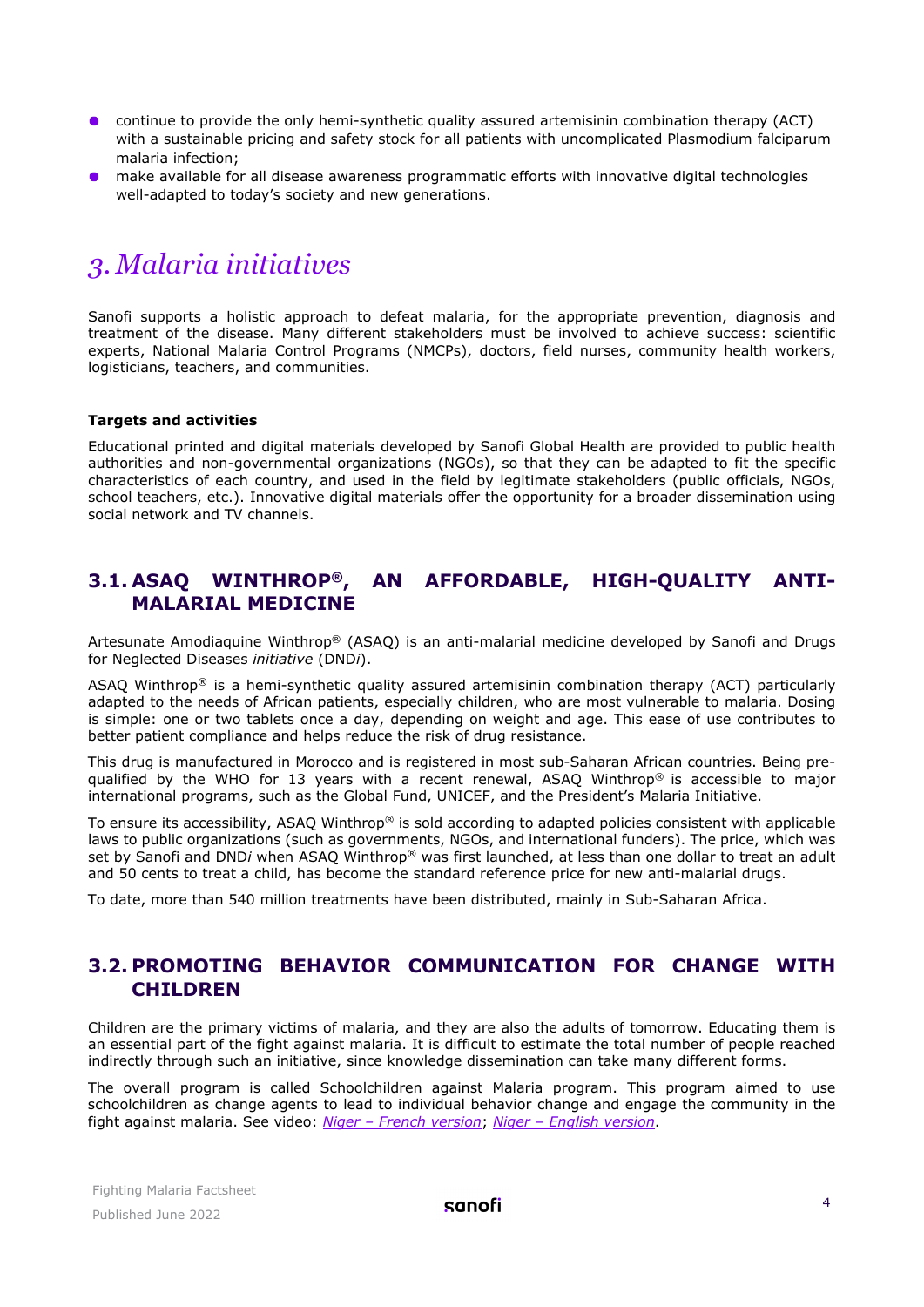- continue to provide the only hemi-synthetic quality assured artemisinin combination therapy (ACT) with a sustainable pricing and safety stock for all patients with uncomplicated Plasmodium falciparum malaria infection;
- **O** make available for all disease awareness programmatic efforts with innovative digital technologies well-adapted to today's society and new generations.

## <span id="page-3-0"></span>*3. Malaria initiatives*

Sanofi supports a holistic approach to defeat malaria, for the appropriate prevention, diagnosis and treatment of the disease. Many different stakeholders must be involved to achieve success: scientific experts, National Malaria Control Programs (NMCPs), doctors, field nurses, community health workers, logisticians, teachers, and communities.

#### **Targets and activities**

Educational printed and digital materials developed by Sanofi Global Health are provided to public health authorities and non-governmental organizations (NGOs), so that they can be adapted to fit the specific characteristics of each country, and used in the field by legitimate stakeholders (public officials, NGOs, school teachers, etc.). Innovative digital materials offer the opportunity for a broader dissemination using social network and TV channels.

#### <span id="page-3-1"></span>**3.1. ASAQ WINTHROP®, AN AFFORDABLE, HIGH-QUALITY ANTI-MALARIAL MEDICINE**

Artesunate Amodiaquine Winthrop® (ASAQ) is an anti-malarial medicine developed by Sanofi and Drugs for Neglected Diseases *initiative* (DND*i*).

ASAQ Winthrop® is a hemi-synthetic quality assured artemisinin combination therapy (ACT) particularly adapted to the needs of African patients, especially children, who are most vulnerable to malaria. Dosing is simple: one or two tablets once a day, depending on weight and age. This ease of use contributes to better patient compliance and helps reduce the risk of drug resistance.

This drug is manufactured in Morocco and is registered in most sub-Saharan African countries. Being prequalified by the WHO for 13 years with a recent renewal, ASAQ Winthrop® is accessible to major international programs, such as the Global Fund, UNICEF, and the President's Malaria Initiative.

To ensure its accessibility, ASAQ Winthrop® is sold according to adapted policies consistent with applicable laws to public organizations (such as governments, NGOs, and international funders). The price, which was set by Sanofi and DND*i* when ASAQ Winthrop® was first launched, at less than one dollar to treat an adult and 50 cents to treat a child, has become the standard reference price for new anti-malarial drugs.

<span id="page-3-2"></span>To date, more than 540 million treatments have been distributed, mainly in Sub-Saharan Africa.

#### **3.2. PROMOTING BEHAVIOR COMMUNICATION FOR CHANGE WITH CHILDREN**

Children are the primary victims of malaria, and they are also the adults of tomorrow. Educating them is an essential part of the fight against malaria. It is difficult to estimate the total number of people reached indirectly through such an initiative, since knowledge dissemination can take many different forms.

The overall program is called Schoolchildren against Malaria program. This program aimed to use schoolchildren as change agents to lead to individual behavior change and engage the community in the fight against malaria. See video: *[Niger – French version](https://www.youtube.com/watch?v=nBp9xMZV1Gc)*; *[Niger – English version](https://www.youtube.com/watch?v=t831zJxNVwo)*.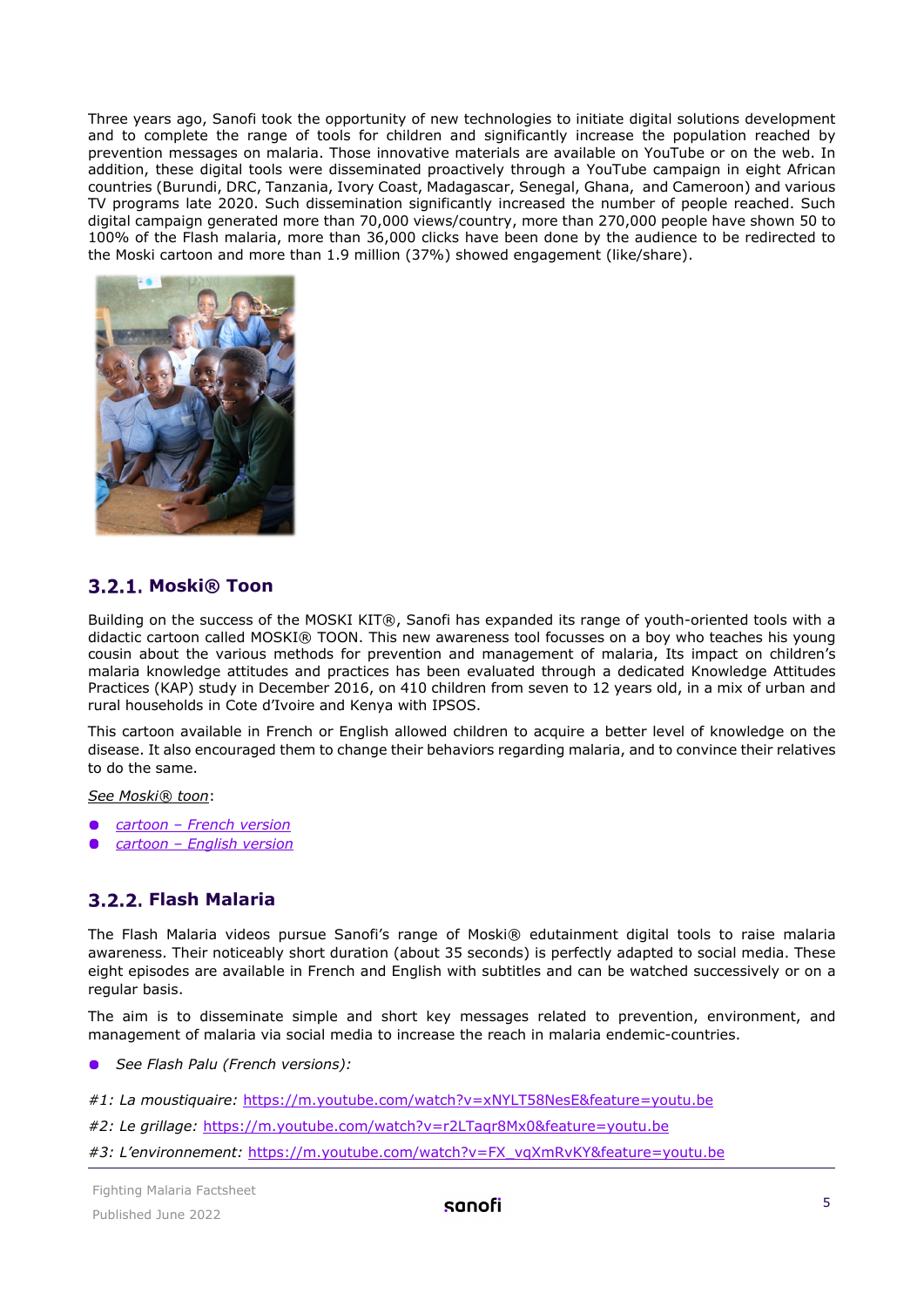Three years ago, Sanofi took the opportunity of new technologies to initiate digital solutions development and to complete the range of tools for children and significantly increase the population reached by prevention messages on malaria. Those innovative materials are available on YouTube or on the web. In addition, these digital tools were disseminated proactively through a YouTube campaign in eight African countries (Burundi, DRC, Tanzania, Ivory Coast, Madagascar, Senegal, Ghana, and Cameroon) and various TV programs late 2020. Such dissemination significantly increased the number of people reached. Such digital campaign generated more than 70,000 views/country, more than 270,000 people have shown 50 to 100% of the Flash malaria, more than 36,000 clicks have been done by the audience to be redirected to the Moski cartoon and more than 1.9 million (37%) showed engagement (like/share).



#### **Moski® Toon**

Building on the success of the MOSKI KIT®, Sanofi has expanded its range of youth-oriented tools with a didactic cartoon called MOSKI® TOON. This new awareness tool focusses on a boy who teaches his young cousin about the various methods for prevention and management of malaria, Its impact on children's malaria knowledge attitudes and practices has been evaluated through a dedicated Knowledge Attitudes Practices (KAP) study in December 2016, on 410 children from seven to 12 years old, in a mix of urban and rural households in Cote d'Ivoire and Kenya with IPSOS.

This cartoon available in French or English allowed children to acquire a better level of knowledge on the disease. It also encouraged them to change their behaviors regarding malaria, and to convince their relatives to do the same.

*See Moski® toon*:

- *[cartoon French version](https://www.youtube.com/watch?v=i8Nq0B2CRD0)*
- *[cartoon English version](https://www.youtube.com/watch?v=6z1YxpoyGoU)*

#### **Flash Malaria**

The Flash Malaria videos pursue Sanofi's range of Moski® edutainment digital tools to raise malaria awareness. Their noticeably short duration (about 35 seconds) is perfectly adapted to social media. These eight episodes are available in French and English with subtitles and can be watched successively or on a regular basis.

The aim is to disseminate simple and short key messages related to prevention, environment, and management of malaria via social media to increase the reach in malaria endemic-countries.

*See Flash Palu (French versions):* 

*#1: La moustiquaire:* <https://m.youtube.com/watch?v=xNYLT58NesE&feature=youtu.be>

- *#2: Le grillage:* <https://m.youtube.com/watch?v=r2LTaqr8Mx0&feature=youtu.be>
- *#3: L'environnement:* [https://m.youtube.com/watch?v=FX\\_vqXmRvKY&feature=youtu.be](https://m.youtube.com/watch?v=FX_vqXmRvKY&feature=youtu.be)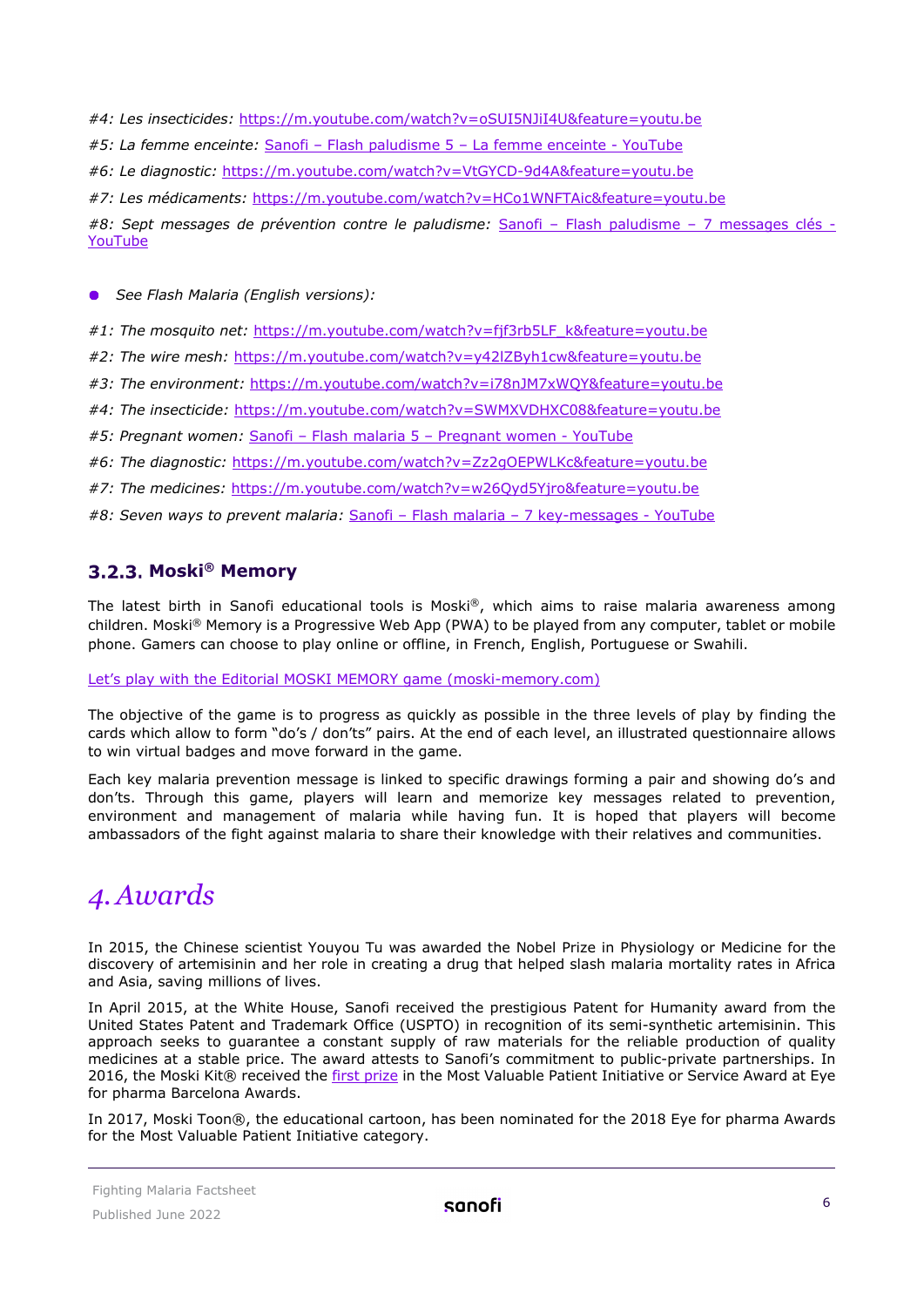*#4: Les insecticides:* <https://m.youtube.com/watch?v=oSUI5NJiI4U&feature=youtu.be> *#5: La femme enceinte:* [Sanofi – Flash paludisme 5 – La femme enceinte - YouTube](https://www.youtube.com/watch?v=UQhqpsUdS44) *#6: Le diagnostic:* <https://m.youtube.com/watch?v=VtGYCD-9d4A&feature=youtu.be> *#7: Les médicaments:* <https://m.youtube.com/watch?v=HCo1WNFTAic&feature=youtu.be> *#8: Sept messages de prévention contre le paludisme:* [Sanofi – Flash paludisme – 7 messages clés -](https://www.youtube.com/watch?v=P4aTbuOu-Vw)  [YouTube](https://www.youtube.com/watch?v=P4aTbuOu-Vw)

*See Flash Malaria (English versions):*

#1: The mosquito net: https://m.youtube.com/watch?v=fif3rb5LF\_k&feature=youtu.be

*#2: The wire mesh:* <https://m.youtube.com/watch?v=y42lZByh1cw&feature=youtu.be>

*#3: The environment:* https://m.youtube.com/watch?v[=i78nJM7xWQY&feature=youtu.be](https://m.youtube.com/watch?v=i78nJM7xWQY&feature=youtu.be)

*#4: The insecticide:* <https://m.youtube.com/watch?v=SWMXVDHXC08&feature=youtu.be>

*#5: Pregnant women:* [Sanofi – Flash malaria 5 – Pregnant women - YouTube](https://www.youtube.com/watch?v=IzNZuPdM00I)

*#6: The diagnostic:* <https://m.youtube.com/watch?v=Zz2gOEPWLKc&feature=youtu.be>

*#7: The medicines:* <https://m.youtube.com/watch?v=w26Qyd5Yjro&feature=youtu.be>

*#8: Seven ways to prevent malaria:* [Sanofi – Flash malaria –](https://www.youtube.com/watch?v=H-t9cvof39w) 7 key-messages - YouTube

#### **Moski® Memory**

The latest birth in Sanofi educational tools is Moski®, which aims to raise malaria awareness among children. Moski® Memory is a Progressive Web App (PWA) to be played from any computer, tablet or mobile phone. Gamers can choose to play online or offline, in French, English, Portuguese or Swahili.

Let's play with the Editori[al MOSKI MEMORY game \(moski](https://www.moski-memory.com/)-memory.com)

The objective of the game is to progress as quickly as possible in the three levels of play by finding the cards which allow to form "do's / don'ts" pairs. At the end of each level, an illustrated questionnaire allows to win virtual badges and move forward in the game.

Each key malaria prevention message is linked to specific drawings forming a pair and showing do's and don'ts. Through this game, players will learn and memorize key messages related to prevention, environment and management of malaria while having fun. It is hoped that players will become ambassadors of the fight against malaria to share their knowledge with their relatives and communities.

### <span id="page-5-0"></span>*4.Awards*

In 2015, the Chinese scientist Youyou Tu was awarded the Nobel Prize in Physiology or Medicine for the discovery of artemisinin and her role in creating a drug that helped slash malaria mortality rates in Africa and Asia, saving millions of lives.

In April 2015, at the White House, Sanofi received the prestigious Patent for Humanity award from the United States Patent and Trademark Office (USPTO) in recognition of its semi-synthetic artemisinin. This approach seeks to guarantee a constant supply of raw materials for the reliable production of quality medicines at a stable price. The award attests to Sanofi's commitment to public-private partnerships. In 2016, the Moski Kit® received the [first prize](https://social.eyeforpharma.com/content/sanofis-moski-kit-wins-most-valuable-patient-initiative-or-service-eyeforpharma-barcelona) in the Most Valuable Patient Initiative or Service Award at Eye for pharma Barcelona Awards.

In 2017, Moski Toon®, the educational cartoon, has been nominated for the 2018 Eye for pharma Awards for the Most Valuable Patient Initiative category.